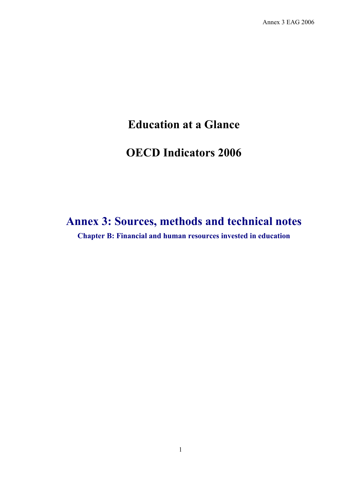Annex 3 EAG 2006

# **Education at a Glance**

# **OECD Indicators 2006**

# **Annex 3: Sources, methods and technical notes Chapter B: Financial and human resources invested in education**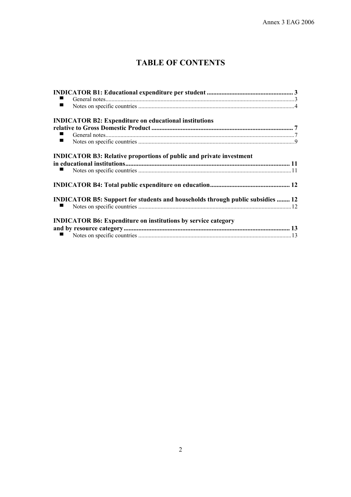# **TABLE OF CONTENTS**

| $\blacksquare$                                                                        |  |
|---------------------------------------------------------------------------------------|--|
| <b>INDICATOR B2: Expenditure on educational institutions</b>                          |  |
|                                                                                       |  |
|                                                                                       |  |
| $\blacksquare$                                                                        |  |
| <b>INDICATOR B3: Relative proportions of public and private investment</b>            |  |
|                                                                                       |  |
|                                                                                       |  |
|                                                                                       |  |
| <b>INDICATOR B5: Support for students and households through public subsidies  12</b> |  |
|                                                                                       |  |
| <b>INDICATOR B6: Expenditure on institutions by service category</b>                  |  |
|                                                                                       |  |
|                                                                                       |  |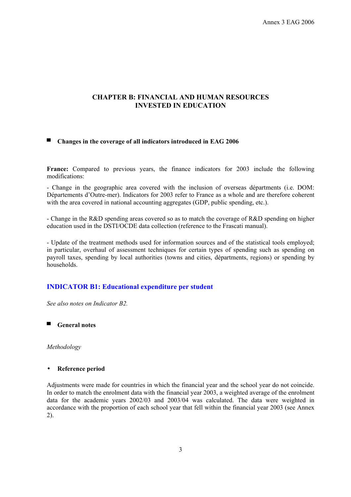Annex 3 EAG 2006

# **CHAPTER B: FINANCIAL AND HUMAN RESOURCES INVESTED IN EDUCATION**

# ▀ **Changes in the coverage of all indicators introduced in EAG 2006**

**France:** Compared to previous years, the finance indicators for 2003 include the following modifications:

- Change in the geographic area covered with the inclusion of overseas départments (i.e. DOM: Départements d'Outre-mer). Indicators for 2003 refer to France as a whole and are therefore coherent with the area covered in national accounting aggregates (GDP, public spending, etc.).

- Change in the R&D spending areas covered so as to match the coverage of R&D spending on higher education used in the DSTI/OCDE data collection (reference to the Frascati manual).

- Update of the treatment methods used for information sources and of the statistical tools employed; in particular, overhaul of assessment techniques for certain types of spending such as spending on payroll taxes, spending by local authorities (towns and cities, départments, regions) or spending by households.

# **INDICATOR B1: Educational expenditure per student**

*See also notes on Indicator B2.* 

■ **General notes** 

*Methodology* 

#### • **Reference period**

Adjustments were made for countries in which the financial year and the school year do not coincide. In order to match the enrolment data with the financial year 2003, a weighted average of the enrolment data for the academic years 2002/03 and 2003/04 was calculated. The data were weighted in accordance with the proportion of each school year that fell within the financial year 2003 (see Annex 2).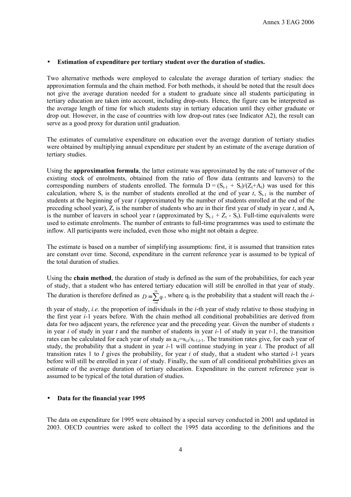#### • **Estimation of expenditure per tertiary student over the duration of studies.**

Two alternative methods were employed to calculate the average duration of tertiary studies: the approximation formula and the chain method. For both methods, it should be noted that the result does not give the average duration needed for a student to graduate since all students participating in tertiary education are taken into account, including drop-outs. Hence, the figure can be interpreted as the average length of time for which students stay in tertiary education until they either graduate or drop out. However, in the case of countries with low drop-out rates (see Indicator A2), the result can serve as a good proxy for duration until graduation.

The estimates of cumulative expenditure on education over the average duration of tertiary studies were obtained by multiplying annual expenditure per student by an estimate of the average duration of tertiary studies.

Using the **approximation formula**, the latter estimate was approximated by the rate of turnover of the existing stock of enrolments, obtained from the ratio of flow data (entrants and leavers) to the corresponding numbers of students enrolled. The formula  $D = (S_{t-1} + S_t)/(Z_t + A_t)$  was used for this calculation, where  $S_t$  is the number of students enrolled at the end of year *t*,  $S_{t-1}$  is the number of students at the beginning of year *t* (approximated by the number of students enrolled at the end of the preceding school year),  $Z_t$  is the number of students who are in their first year of study in year  $t$ , and  $A_t$ is the number of leavers in school year *t* (approximated by  $S_{t-1} + Z_t - S_t$ ). Full-time equivalents were used to estimate enrolments. The number of entrants to full-time programmes was used to estimate the inflow. All participants were included, even those who might not obtain a degree.

The estimate is based on a number of simplifying assumptions: first, it is assumed that transition rates are constant over time. Second, expenditure in the current reference year is assumed to be typical of the total duration of studies.

Using the **chain method**, the duration of study is defined as the sum of the probabilities, for each year of study, that a student who has entered tertiary education will still be enrolled in that year of study. The duration is therefore defined as  $D = \sum_{i=1}^{10} q_i$ , where  $q_i$  is the probability that a student will reach the *i*-

*i* =

th year of study, *i.e.* the proportion of individuals in the *i*-th year of study relative to those studying in the first year *i*-1 years before. With the chain method all conditional probabilities are derived from data for two adjacent years, the reference year and the preceding year. Given the number of students *s* in year *i* of study in year *t* and the number of students in year *i*-1 of study in year *t*-1, the transition rates can be calculated for each year of study as  $a_i = s_i / s_{i-1}$ . The transition rates give, for each year of study, the probability that a student in year *i*-1 will continue studying in year *i*. The product of all transition rates 1 to *I* gives the probability, for year *i* of study, that a student who started *i*-1 years before will still be enrolled in year *i* of study. Finally, the sum of all conditional probabilities gives an estimate of the average duration of tertiary education. Expenditure in the current reference year is assumed to be typical of the total duration of studies.

#### • **Data for the financial year 1995**

The data on expenditure for 1995 were obtained by a special survey conducted in 2001 and updated in 2003. OECD countries were asked to collect the 1995 data according to the definitions and the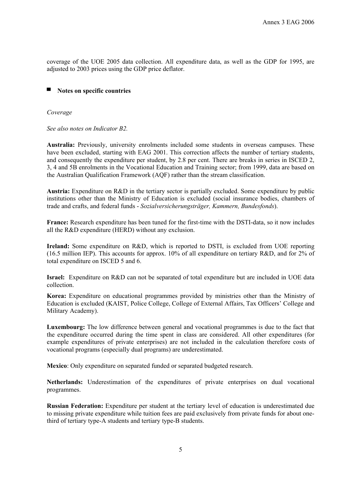coverage of the UOE 2005 data collection. All expenditure data, as well as the GDP for 1995, are adjusted to 2003 prices using the GDP price deflator.

# ■ **Notes on specific countries**

*Coverage* 

*See also notes on Indicator B2.* 

**Australia:** Previously, university enrolments included some students in overseas campuses. These have been excluded, starting with EAG 2001. This correction affects the number of tertiary students, and consequently the expenditure per student, by 2.8 per cent. There are breaks in series in ISCED 2, 3, 4 and 5B enrolments in the Vocational Education and Training sector; from 1999, data are based on the Australian Qualification Framework (AQF) rather than the stream classification.

**Austria:** Expenditure on R&D in the tertiary sector is partially excluded. Some expenditure by public institutions other than the Ministry of Education is excluded (social insurance bodies, chambers of trade and crafts, and federal funds - *Sozialversicherungsträger, Kammern, Bundesfonds*).

**France:** Research expenditure has been tuned for the first-time with the DSTI-data, so it now includes all the R&D expenditure (HERD) without any exclusion.

**Ireland:** Some expenditure on R&D, which is reported to DSTI, is excluded from UOE reporting (16.5 million IEP). This accounts for approx. 10% of all expenditure on tertiary R&D, and for 2% of total expenditure on ISCED 5 and 6.

**Israel:** Expenditure on R&D can not be separated of total expenditure but are included in UOE data collection.

**Korea:** Expenditure on educational programmes provided by ministries other than the Ministry of Education is excluded (KAIST, Police College, College of External Affairs, Tax Officers' College and Military Academy).

**Luxembourg:** The low difference between general and vocational programmes is due to the fact that the expenditure occurred during the time spent in class are considered. All other expenditures (for example expenditures of private enterprises) are not included in the calculation therefore costs of vocational programs (especially dual programs) are underestimated.

**Mexico**: Only expenditure on separated funded or separated budgeted research.

**Netherlands:** Underestimation of the expenditures of private enterprises on dual vocational programmes.

**Russian Federation:** Expenditure per student at the tertiary level of education is underestimated due to missing private expenditure while tuition fees are paid exclusively from private funds for about onethird of tertiary type-A students and tertiary type-B students.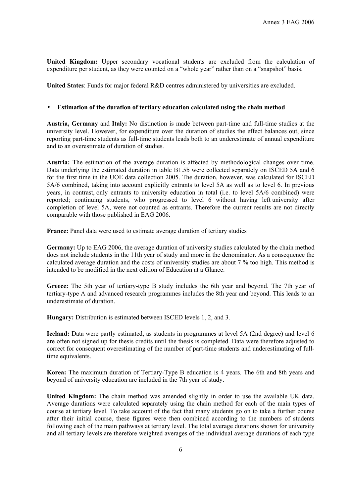**United Kingdom:** Upper secondary vocational students are excluded from the calculation of expenditure per student, as they were counted on a "whole year" rather than on a "snapshot" basis.

**United States**: Funds for major federal R&D centres administered by universities are excluded.

#### • **Estimation of the duration of tertiary education calculated using the chain method**

**Austria, Germany** and **Italy:** No distinction is made between part-time and full-time studies at the university level. However, for expenditure over the duration of studies the effect balances out, since reporting part-time students as full-time students leads both to an underestimate of annual expenditure and to an overestimate of duration of studies.

**Austria:** The estimation of the average duration is affected by methodological changes over time. Data underlying the estimated duration in table B1.5b were collected separately on ISCED 5A and 6 for the first time in the UOE data collection 2005. The duration, however, was calculated for ISCED 5A/6 combined, taking into account explicitly entrants to level 5A as well as to level 6. In previous years, in contrast, only entrants to university education in total (i.e. to level 5A/6 combined) were reported; continuing students, who progressed to level 6 without having left university after completion of level 5A, were not counted as entrants. Therefore the current results are not directly comparable with those published in EAG 2006.

**France:** Panel data were used to estimate average duration of tertiary studies

**Germany:** Up to EAG 2006, the average duration of university studies calculated by the chain method does not include students in the 11th year of study and more in the denominator. As a consequence the calculated average duration and the costs of university studies are about 7 % too high. This method is intended to be modified in the next edition of Education at a Glance.

**Greece:** The 5th year of tertiary-type B study includes the 6th year and beyond. The 7th year of tertiary-type A and advanced research programmes includes the 8th year and beyond. This leads to an underestimate of duration.

**Hungary:** Distribution is estimated between ISCED levels 1, 2, and 3.

**Iceland:** Data were partly estimated, as students in programmes at level 5A (2nd degree) and level 6 are often not signed up for thesis credits until the thesis is completed. Data were therefore adjusted to correct for consequent overestimating of the number of part-time students and underestimating of fulltime equivalents.

**Korea:** The maximum duration of Tertiary-Type B education is 4 years. The 6th and 8th years and beyond of university education are included in the 7th year of study.

**United Kingdom:** The chain method was amended slightly in order to use the available UK data. Average durations were calculated separately using the chain method for each of the main types of course at tertiary level. To take account of the fact that many students go on to take a further course after their initial course, these figures were then combined according to the numbers of students following each of the main pathways at tertiary level. The total average durations shown for university and all tertiary levels are therefore weighted averages of the individual average durations of each type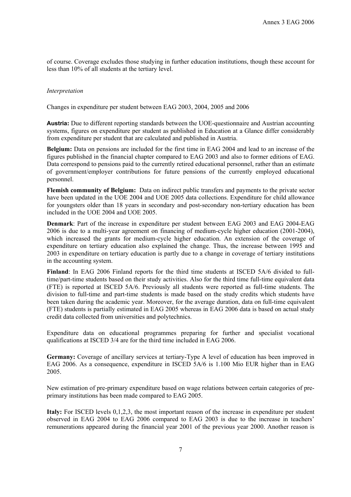of course. Coverage excludes those studying in further education institutions, though these account for less than 10% of all students at the tertiary level.

#### *Interpretation*

Changes in expenditure per student between EAG 2003, 2004, 2005 and 2006

**Austria:** Due to different reporting standards between the UOE-questionnaire and Austrian accounting systems, figures on expenditure per student as published in Education at a Glance differ considerably from expenditure per student that are calculated and published in Austria.

**Belgium:** Data on pensions are included for the first time in EAG 2004 and lead to an increase of the figures published in the financial chapter compared to EAG 2003 and also to former editions of EAG. Data correspond to pensions paid to the currently retired educational personnel, rather than an estimate of government/employer contributions for future pensions of the currently employed educational personnel.

**Flemish community of Belgium:** Data on indirect public transfers and payments to the private sector have been updated in the UOE 2004 and UOE 2005 data collections. Expenditure for child allowance for youngsters older than 18 years in secondary and post-secondary non-tertiary education has been included in the UOE 2004 and UOE 2005.

**Denmark**: Part of the increase in expenditure per student between EAG 2003 and EAG 2004-EAG 2006 is due to a multi-year agreement on financing of medium-cycle higher education (2001-2004), which increased the grants for medium-cycle higher education. An extension of the coverage of expenditure on tertiary education also explained the change. Thus, the increase between 1995 and 2003 in expenditure on tertiary education is partly due to a change in coverage of tertiary institutions in the accounting system.

**Finland**: In EAG 2006 Finland reports for the third time students at ISCED 5A/6 divided to fulltime/part-time students based on their study activities. Also for the third time full-time equivalent data (FTE) is reported at ISCED 5A/6. Previously all students were reported as full-time students. The division to full-time and part-time students is made based on the study credits which students have been taken during the academic year. Moreover, for the average duration, data on full-time equivalent (FTE) students is partially estimated in EAG 2005 whereas in EAG 2006 data is based on actual study credit data collected from universities and polytechnics.

Expenditure data on educational programmes preparing for further and specialist vocational qualifications at ISCED 3/4 are for the third time included in EAG 2006.

**Germany:** Coverage of ancillary services at tertiary-Type A level of education has been improved in EAG 2006. As a consequence, expenditure in ISCED 5A/6 is 1.100 Mio EUR higher than in EAG 2005.

New estimation of pre-primary expenditure based on wage relations between certain categories of preprimary institutions has been made compared to EAG 2005.

**Italy:** For ISCED levels 0,1,2,3, the most important reason of the increase in expenditure per student observed in EAG 2004 to EAG 2006 compared to EAG 2003 is due to the increase in teachers' remunerations appeared during the financial year 2001 of the previous year 2000. Another reason is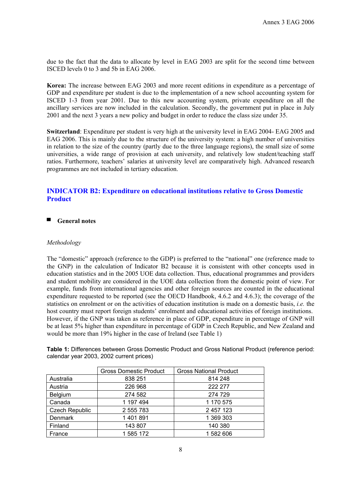due to the fact that the data to allocate by level in EAG 2003 are split for the second time between ISCED levels 0 to 3 and 5b in EAG 2006.

**Korea:** The increase between EAG 2003 and more recent editions in expenditure as a percentage of GDP and expenditure per student is due to the implementation of a new school accounting system for ISCED 1-3 from year 2001. Due to this new accounting system, private expenditure on all the ancillary services are now included in the calculation. Secondly, the government put in place in July 2001 and the next 3 years a new policy and budget in order to reduce the class size under 35.

**Switzerland**: Expenditure per student is very high at the university level in EAG 2004- EAG 2005 and EAG 2006. This is mainly due to the structure of the university system: a high number of universities in relation to the size of the country (partly due to the three language regions), the small size of some universities, a wide range of provision at each university, and relatively low student/teaching staff ratios. Furthermore, teachers' salaries at university level are comparatively high. Advanced research programmes are not included in tertiary education.

# **INDICATOR B2: Expenditure on educational institutions relative to Gross Domestic Product**

▀ **General notes** 

#### *Methodology*

The "domestic" approach (reference to the GDP) is preferred to the "national" one (reference made to the GNP) in the calculation of Indicator B2 because it is consistent with other concepts used in education statistics and in the 2005 UOE data collection. Thus, educational programmes and providers and student mobility are considered in the UOE data collection from the domestic point of view. For example, funds from international agencies and other foreign sources are counted in the educational expenditure requested to be reported (see the OECD Handbook, 4.6.2 and 4.6.3); the coverage of the statistics on enrolment or on the activities of education institution is made on a domestic basis, *i.e.* the host country must report foreign students' enrolment and educational activities of foreign institutions. However, if the GNP was taken as reference in place of GDP, expenditure in percentage of GNP will be at least 5% higher than expenditure in percentage of GDP in Czech Republic, and New Zealand and would be more than 19% higher in the case of Ireland (see Table 1)

|                | <b>Gross Domestic Product</b> | <b>Gross National Product</b> |  |  |
|----------------|-------------------------------|-------------------------------|--|--|
| Australia      | 838 251                       | 814 248                       |  |  |
| Austria        | 226 968                       | 222 277                       |  |  |
| <b>Belgium</b> | 274 582                       | 274 729                       |  |  |

Canada 197 494 | 1170 575 Czech Republic | 2 555 783 | 2 457 123 Denmark 1 401 891 1 369 303 Finland 143 807 140 380 France 1 585 172 1 582 606

**Table 1:** Differences between Gross Domestic Product and Gross National Product (reference period: calendar year 2003, 2002 current prices)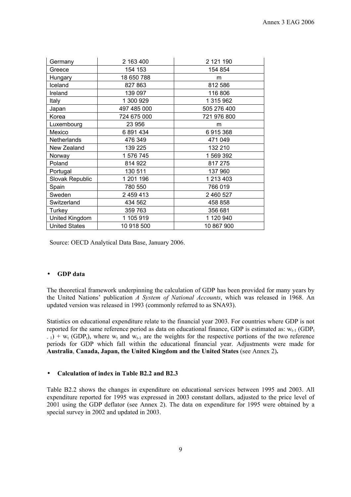| Germany              | 2 163 400   | 2 121 190   |
|----------------------|-------------|-------------|
| Greece               | 154 153     | 154 854     |
| Hungary              | 18 650 788  | m           |
| Iceland              | 827 863     | 812 586     |
| Ireland              | 139 097     | 116 806     |
| Italy                | 1 300 929   | 1 315 962   |
| Japan                | 497 485 000 | 505 276 400 |
| Korea                | 724 675 000 | 721 976 800 |
| Luxembourg           | 23 956      | m           |
| Mexico               | 6891434     | 6915368     |
| Netherlands          | 476 349     | 471 049     |
| New Zealand          | 139 225     | 132 210     |
| Norway               | 1 576 745   | 1 569 392   |
| Poland               | 814 922     | 817 275     |
| Portugal             | 130 511     | 137 960     |
| Slovak Republic      | 1 201 196   | 1 213 403   |
| Spain                | 780 550     | 766 019     |
| Sweden               | 2 459 413   | 2 460 527   |
| Switzerland          | 434 562     | 458 858     |
| Turkey               | 359 763     | 356 681     |
| United Kingdom       | 1 105 919   | 1 120 940   |
| <b>United States</b> | 10 918 500  | 10 867 900  |

Source: OECD Analytical Data Base, January 2006.

## • **GDP data**

The theoretical framework underpinning the calculation of GDP has been provided for many years by the United Nations' publication *A System of National Accounts*, which was released in 1968. An updated version was released in 1993 (commonly referred to as SNA93).

Statistics on educational expenditure relate to the financial year 2003. For countries where GDP is not reported for the same reference period as data on educational finance, GDP is estimated as:  $w_{t-1}$  (GDP<sub>t</sub>  $-$  1) +  $w_t$  (GDP<sub>t</sub>), where  $w_t$  and  $w_{t-1}$  are the weights for the respective portions of the two reference periods for GDP which fall within the educational financial year. Adjustments were made for **Australia**, **Canada, Japan, the United Kingdom and the United States** (see Annex 2)**.**

# • **Calculation of index in Table B2.2 and B2.3**

Table B2.2 shows the changes in expenditure on educational services between 1995 and 2003. All expenditure reported for 1995 was expressed in 2003 constant dollars, adjusted to the price level of 2001 using the GDP deflator (see Annex 2). The data on expenditure for 1995 were obtained by a special survey in 2002 and updated in 2003.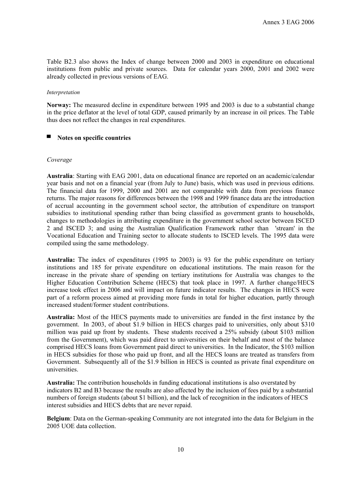Table B2.3 also shows the Index of change between 2000 and 2003 in expenditure on educational institutions from public and private sources. Data for calendar years 2000, 2001 and 2002 were already collected in previous versions of EAG.

#### *Interpretation*

**Norway:** The measured decline in expenditure between 1995 and 2003 is due to a substantial change in the price deflator at the level of total GDP, caused primarily by an increase in oil prices. The Table thus does not reflect the changes in real expenditures.

#### ▀ **Notes on specific countries**

#### *Coverage*

**Australia**: Starting with EAG 2001, data on educational finance are reported on an academic/calendar year basis and not on a financial year (from July to June) basis, which was used in previous editions. The financial data for 1999, 2000 and 2001 are not comparable with data from previous finance returns. The major reasons for differences between the 1998 and 1999 finance data are the introduction of accrual accounting in the government school sector, the attribution of expenditure on transport subsidies to institutional spending rather than being classified as government grants to households, changes to methodologies in attributing expenditure in the government school sector between ISCED 2 and ISCED 3; and using the Australian Qualification Framework rather than 'stream' in the Vocational Education and Training sector to allocate students to ISCED levels. The 1995 data were compiled using the same methodology.

**Australia:** The index of expenditures (1995 to 2003) is 93 for the public expenditure on tertiary institutions and 185 for private expenditure on educational institutions. The main reason for the increase in the private share of spending on tertiary institutions for Australia was changes to the Higher Education Contribution Scheme (HECS) that took place in 1997. A further change/HECS increase took effect in 2006 and will impact on future indicator results. The changes in HECS were part of a reform process aimed at providing more funds in total for higher education, partly through increased student/former student contributions.

**Australia:** Most of the HECS payments made to universities are funded in the first instance by the government. In 2003, of about \$1.9 billion in HECS charges paid to universities, only about \$310 million was paid up front by students. These students received a 25% subsidy (about \$103 million from the Government), which was paid direct to universities on their behalf and most of the balance comprised HECS loans from Government paid direct to universities. In the Indicator, the \$103 million in HECS subsidies for those who paid up front, and all the HECS loans are treated as transfers from Government. Subsequently all of the \$1.9 billion in HECS is counted as private final expenditure on universities.

**Australia:** The contribution households in funding educational institutions is also overstated by indicators B2 and B3 because the results are also affected by the inclusion of fees paid by a substantial numbers of foreign students (about \$1 billion), and the lack of recognition in the indicators of HECS interest subsidies and HECS debts that are never repaid.

**Belgium**: Data on the German-speaking Community are not integrated into the data for Belgium in the 2005 UOE data collection.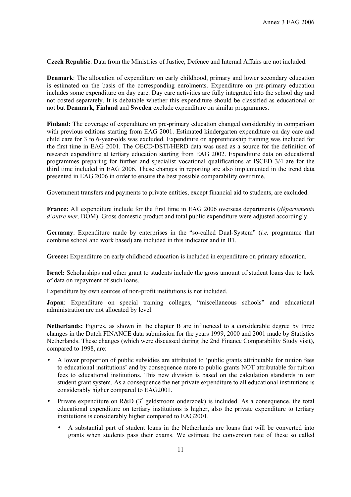**Czech Republic**: Data from the Ministries of Justice, Defence and Internal Affairs are not included.

**Denmark**: The allocation of expenditure on early childhood, primary and lower secondary education is estimated on the basis of the corresponding enrolments. Expenditure on pre-primary education includes some expenditure on day care. Day care activities are fully integrated into the school day and not costed separately. It is debatable whether this expenditure should be classified as educational or not but **Denmark, Finland** and **Sweden** exclude expenditure on similar programmes.

**Finland:** The coverage of expenditure on pre-primary education changed considerably in comparison with previous editions starting from EAG 2001. Estimated kindergarten expenditure on day care and child care for 3 to 6-year-olds was excluded. Expenditure on apprenticeship training was included for the first time in EAG 2001. The OECD/DSTI/HERD data was used as a source for the definition of research expenditure at tertiary education starting from EAG 2002. Expenditure data on educational programmes preparing for further and specialist vocational qualifications at ISCED 3/4 are for the third time included in EAG 2006. These changes in reporting are also implemented in the trend data presented in EAG 2006 in order to ensure the best possible comparability over time.

Government transfers and payments to private entities, except financial aid to students, are excluded.

**France:** All expenditure include for the first time in EAG 2006 overseas departments (*départements d'outre mer,* DOM). Gross domestic product and total public expenditure were adjusted accordingly.

**Germany**: Expenditure made by enterprises in the "so-called Dual-System" (*i.e.* programme that combine school and work based) are included in this indicator and in B1.

**Greece:** Expenditure on early childhood education is included in expenditure on primary education.

**Israel:** Scholarships and other grant to students include the gross amount of student loans due to lack of data on repayment of such loans.

Expenditure by own sources of non-profit institutions is not included.

**Japan**: Expenditure on special training colleges, "miscellaneous schools" and educational administration are not allocated by level.

**Netherlands:** Figures, as shown in the chapter B are influenced to a considerable degree by three changes in the Dutch FINANCE data submission for the years 1999, 2000 and 2001 made by Statistics Netherlands. These changes (which were discussed during the 2nd Finance Comparability Study visit), compared to 1998, are:

- A lower proportion of public subsidies are attributed to 'public grants attributable for tuition fees to educational institutions' and by consequence more to public grants NOT attributable for tuition fees to educational institutions. This new division is based on the calculation standards in our student grant system. As a consequence the net private expenditure to all educational institutions is considerably higher compared to EAG2001.
- Private expenditure on R&D  $(3^e$  geldstroom onderzoek) is included. As a consequence, the total educational expenditure on tertiary institutions is higher, also the private expenditure to tertiary institutions is considerably higher compared to EAG2001.
	- A substantial part of student loans in the Netherlands are loans that will be converted into grants when students pass their exams. We estimate the conversion rate of these so called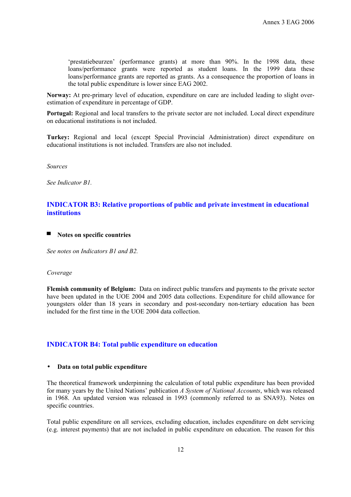'prestatiebeurzen' (performance grants) at more than 90%. In the 1998 data, these loans/performance grants were reported as student loans. In the 1999 data these loans/performance grants are reported as grants. As a consequence the proportion of loans in the total public expenditure is lower since EAG 2002.

**Norway:** At pre-primary level of education, expenditure on care are included leading to slight overestimation of expenditure in percentage of GDP.

**Portugal:** Regional and local transfers to the private sector are not included. Local direct expenditure on educational institutions is not included.

**Turkey:** Regional and local (except Special Provincial Administration) direct expenditure on educational institutions is not included. Transfers are also not included.

*Sources*

*See Indicator B1.* 

# **INDICATOR B3: Relative proportions of public and private investment in educational institutions**

#### ■ **Notes on specific countries**

*See notes on Indicators B1 and B2.* 

#### *Coverage*

**Flemish community of Belgium:** Data on indirect public transfers and payments to the private sector have been updated in the UOE 2004 and 2005 data collections. Expenditure for child allowance for youngsters older than 18 years in secondary and post-secondary non-tertiary education has been included for the first time in the UOE 2004 data collection.

## **INDICATOR B4: Total public expenditure on education**

#### • **Data on total public expenditure**

The theoretical framework underpinning the calculation of total public expenditure has been provided for many years by the United Nations' publication *A System of National Accounts*, which was released in 1968. An updated version was released in 1993 (commonly referred to as SNA93). Notes on specific countries.

Total public expenditure on all services, excluding education, includes expenditure on debt servicing (e.g. interest payments) that are not included in public expenditure on education. The reason for this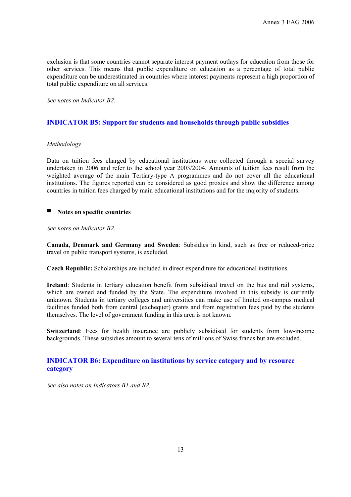exclusion is that some countries cannot separate interest payment outlays for education from those for other services. This means that public expenditure on education as a percentage of total public expenditure can be underestimated in countries where interest payments represent a high proportion of total public expenditure on all services.

*See notes on Indicator B2.* 

# **INDICATOR B5: Support for students and households through public subsidies**

## *Methodology*

Data on tuition fees charged by educational institutions were collected through a special survey undertaken in 2006 and refer to the school year 2003/2004. Amounts of tuition fees result from the weighted average of the main Tertiary-type A programmes and do not cover all the educational institutions. The figures reported can be considered as good proxies and show the difference among countries in tuition fees charged by main educational institutions and for the majority of students.

# ■ **Notes on specific countries**

#### *See notes on Indicator B2.*

**Canada, Denmark and Germany and Sweden**: Subsidies in kind, such as free or reduced-price travel on public transport systems, is excluded.

**Czech Republic:** Scholarships are included in direct expenditure for educational institutions.

**Ireland**: Students in tertiary education benefit from subsidised travel on the bus and rail systems, which are owned and funded by the State. The expenditure involved in this subsidy is currently unknown. Students in tertiary colleges and universities can make use of limited on-campus medical facilities funded both from central (exchequer) grants and from registration fees paid by the students themselves. The level of government funding in this area is not known.

**Switzerland**: Fees for health insurance are publicly subsidised for students from low-income backgrounds. These subsidies amount to several tens of millions of Swiss francs but are excluded.

# **INDICATOR B6: Expenditure on institutions by service category and by resource category**

*See also notes on Indicators B1 and B2.*